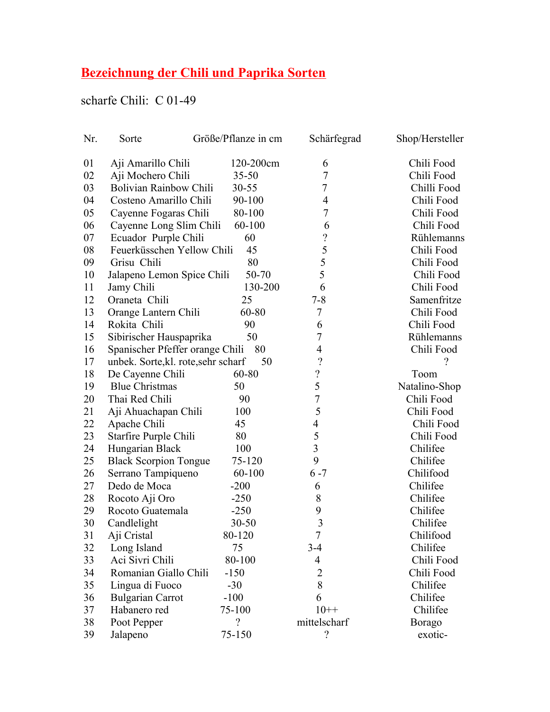## **Bezeichnung der Chili und Paprika Sorten**

## scharfe Chili: C 01-49

| Nr. | Sorte                               | Größe/Pflanze in cm | Schärfegrad              | Shop/Hersteller |
|-----|-------------------------------------|---------------------|--------------------------|-----------------|
| 01  | Aji Amarillo Chili                  | 120-200cm           | 6                        | Chili Food      |
| 02  | Aji Mochero Chili                   | $35 - 50$           | 7                        | Chili Food      |
| 03  | Bolivian Rainbow Chili              | $30 - 55$           | 7                        | Chilli Food     |
| 04  | Costeno Amarillo Chili              | 90-100              | $\overline{4}$           | Chili Food      |
| 05  | Cayenne Fogaras Chili               | 80-100              | $\tau$                   | Chili Food      |
| 06  | Cayenne Long Slim Chili             | 60-100              | 6                        | Chili Food      |
| 07  | Ecuador Purple Chili                | 60                  | $\ddot{?}$               | Rühlemanns      |
| 08  | Feuerküsschen Yellow Chili          | 45                  | 5                        | Chili Food      |
| 09  | Grisu Chili                         | 80                  | 5                        | Chili Food      |
| 10  | Jalapeno Lemon Spice Chili          | 50-70               | 5                        | Chili Food      |
| 11  | Jamy Chili                          | 130-200             | 6                        | Chili Food      |
| 12  | Oraneta Chili                       | 25                  | $7 - 8$                  | Samenfritze     |
| 13  | Orange Lantern Chili                | 60-80               | 7                        | Chili Food      |
| 14  | Rokita Chili                        | 90                  | 6                        | Chili Food      |
| 15  | Sibirischer Hauspaprika             | 50                  | $\overline{7}$           | Rühlemanns      |
| 16  | Spanischer Pfeffer orange Chili 80  |                     | $\overline{4}$           | Chili Food      |
| 17  | unbek. Sorte, kl. rote, sehr scharf | 50                  | $\overline{\mathcal{L}}$ | ?               |
| 18  | De Cayenne Chili                    | 60-80               | $\ddot{ }$               | Toom            |
| 19  | <b>Blue Christmas</b>               | 50                  | 5                        | Natalino-Shop   |
| 20  | Thai Red Chili                      | 90                  | $\overline{7}$           | Chili Food      |
| 21  | Aji Ahuachapan Chili                | 100                 | 5                        | Chili Food      |
| 22  | Apache Chili                        | 45                  | $\overline{4}$           | Chili Food      |
| 23  | Starfire Purple Chili               | 80                  | 5                        | Chili Food      |
| 24  | Hungarian Black                     | 100                 | $\overline{3}$           | Chilifee        |
| 25  | <b>Black Scorpion Tongue</b>        | 75-120              | 9                        | Chilifee        |
| 26  | Serrano Tampiqueno                  | 60-100              | $6 - 7$                  | Chilifood       |
| 27  | Dedo de Moca                        | $-200$              | 6                        | Chilifee        |
| 28  | Rocoto Aji Oro                      | $-250$              | 8                        | Chilifee        |
| 29  | Rocoto Guatemala                    | $-250$              | 9                        | Chilifee        |
| 30  | Candlelight                         | $30 - 50$           | $\overline{3}$           | Chilifee        |
| 31  | Aji Cristal                         | 80-120              | $\overline{7}$           | Chilifood       |
| 32  | Long Island                         | 75                  | $3-4$                    | Chilifee        |
| 33  | Aci Sivri Chili                     | 80-100              | 4                        | Chili Food      |
| 34  | Romanian Giallo Chili               | $-150$              | $\overline{2}$           | Chili Food      |
| 35  | Lingua di Fuoco                     | $-30$               | 8                        | Chilifee        |
| 36  | <b>Bulgarian Carrot</b>             | $-100$              | 6                        | Chilifee        |
| 37  | Habanero red                        | 75-100              | $10++$                   | Chilifee        |
| 38  | Poot Pepper                         | $\overline{?}$      | mittelscharf             | <b>Borago</b>   |
| 39  | Jalapeno                            | 75-150              | $\overline{?}$           | exotic-         |